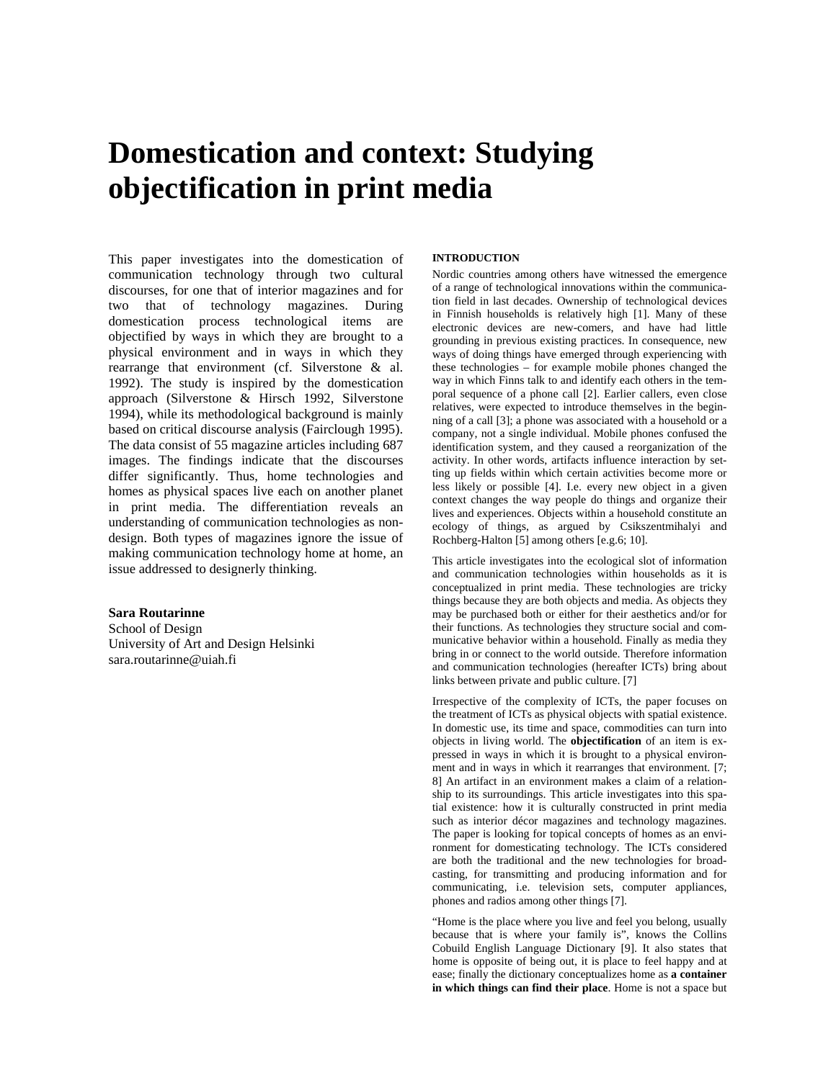# **Domestication and context: Studying objectification in print media**

This paper investigates into the domestication of communication technology through two cultural discourses, for one that of interior magazines and for two that of technology magazines. During domestication process technological items are objectified by ways in which they are brought to a physical environment and in ways in which they rearrange that environment (cf. Silverstone & al. 1992). The study is inspired by the domestication approach (Silverstone & Hirsch 1992, Silverstone 1994), while its methodological background is mainly based on critical discourse analysis (Fairclough 1995). The data consist of 55 magazine articles including 687 images. The findings indicate that the discourses differ significantly. Thus, home technologies and homes as physical spaces live each on another planet in print media. The differentiation reveals an understanding of communication technologies as nondesign. Both types of magazines ignore the issue of making communication technology home at home, an issue addressed to designerly thinking.

# **Sara Routarinne**

School of Design University of Art and Design Helsinki sara.routarinne@uiah.fi

#### **INTRODUCTION**

Nordic countries among others have witnessed the emergence of a range of technological innovations within the communication field in last decades. Ownership of technological devices in Finnish households is relatively high [1]. Many of these electronic devices are new-comers, and have had little grounding in previous existing practices. In consequence, new ways of doing things have emerged through experiencing with these technologies – for example mobile phones changed the way in which Finns talk to and identify each others in the temporal sequence of a phone call [2]. Earlier callers, even close relatives, were expected to introduce themselves in the beginning of a call [3]; a phone was associated with a household or a company, not a single individual. Mobile phones confused the identification system, and they caused a reorganization of the activity. In other words, artifacts influence interaction by setting up fields within which certain activities become more or less likely or possible [4]. I.e. every new object in a given context changes the way people do things and organize their lives and experiences. Objects within a household constitute an ecology of things, as argued by Csikszentmihalyi and Rochberg-Halton [5] among others [e.g.6; 10].

This article investigates into the ecological slot of information and communication technologies within households as it is conceptualized in print media. These technologies are tricky things because they are both objects and media. As objects they may be purchased both or either for their aesthetics and/or for their functions. As technologies they structure social and communicative behavior within a household. Finally as media they bring in or connect to the world outside. Therefore information and communication technologies (hereafter ICTs) bring about links between private and public culture. [7]

Irrespective of the complexity of ICTs, the paper focuses on the treatment of ICTs as physical objects with spatial existence. In domestic use, its time and space, commodities can turn into objects in living world. The **objectification** of an item is expressed in ways in which it is brought to a physical environment and in ways in which it rearranges that environment. [7; 8] An artifact in an environment makes a claim of a relationship to its surroundings. This article investigates into this spatial existence: how it is culturally constructed in print media such as interior décor magazines and technology magazines. The paper is looking for topical concepts of homes as an environment for domesticating technology. The ICTs considered are both the traditional and the new technologies for broadcasting, for transmitting and producing information and for communicating, i.e. television sets, computer appliances, phones and radios among other things [7].

"Home is the place where you live and feel you belong, usually because that is where your family is", knows the Collins Cobuild English Language Dictionary [9]. It also states that home is opposite of being out, it is place to feel happy and at ease; finally the dictionary conceptualizes home as **a container in which things can find their place**. Home is not a space but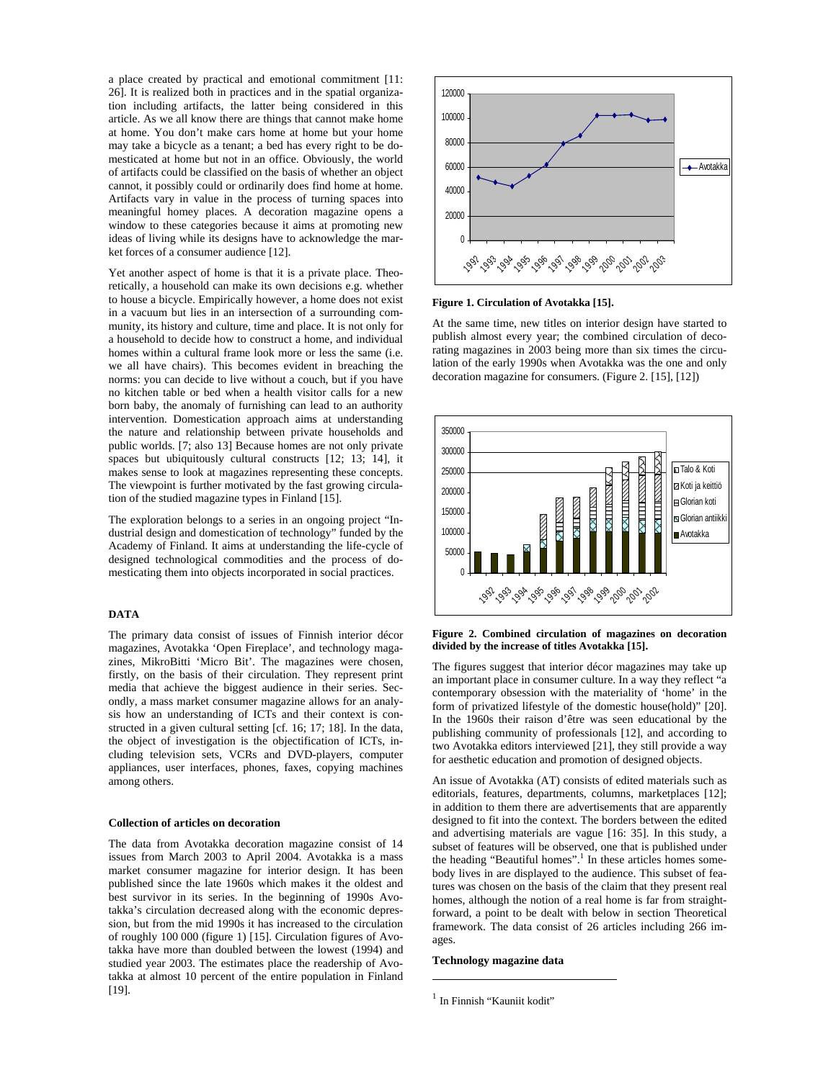a place created by practical and emotional commitment [11: 26]. It is realized both in practices and in the spatial organization including artifacts, the latter being considered in this article. As we all know there are things that cannot make home at home. You don't make cars home at home but your home may take a bicycle as a tenant; a bed has every right to be domesticated at home but not in an office. Obviously, the world of artifacts could be classified on the basis of whether an object cannot, it possibly could or ordinarily does find home at home. Artifacts vary in value in the process of turning spaces into meaningful homey places. A decoration magazine opens a window to these categories because it aims at promoting new ideas of living while its designs have to acknowledge the market forces of a consumer audience [12].

Yet another aspect of home is that it is a private place. Theoretically, a household can make its own decisions e.g. whether to house a bicycle. Empirically however, a home does not exist in a vacuum but lies in an intersection of a surrounding community, its history and culture, time and place. It is not only for a household to decide how to construct a home, and individual homes within a cultural frame look more or less the same (i.e. we all have chairs). This becomes evident in breaching the norms: you can decide to live without a couch, but if you have no kitchen table or bed when a health visitor calls for a new born baby, the anomaly of furnishing can lead to an authority intervention. Domestication approach aims at understanding the nature and relationship between private households and public worlds. [7; also 13] Because homes are not only private spaces but ubiquitously cultural constructs [12; 13; 14], it makes sense to look at magazines representing these concepts. The viewpoint is further motivated by the fast growing circulation of the studied magazine types in Finland [15].

The exploration belongs to a series in an ongoing project "Industrial design and domestication of technology" funded by the Academy of Finland. It aims at understanding the life-cycle of designed technological commodities and the process of domesticating them into objects incorporated in social practices.

## **DATA**

The primary data consist of issues of Finnish interior décor magazines, Avotakka 'Open Fireplace', and technology magazines, MikroBitti 'Micro Bit'. The magazines were chosen, firstly, on the basis of their circulation. They represent print media that achieve the biggest audience in their series. Secondly, a mass market consumer magazine allows for an analysis how an understanding of ICTs and their context is constructed in a given cultural setting [cf. 16; 17; 18]. In the data, the object of investigation is the objectification of ICTs, including television sets, VCRs and DVD-players, computer appliances, user interfaces, phones, faxes, copying machines among others.

## **Collection of articles on decoration**

The data from Avotakka decoration magazine consist of 14 issues from March 2003 to April 2004. Avotakka is a mass market consumer magazine for interior design. It has been published since the late 1960s which makes it the oldest and best survivor in its series. In the beginning of 1990s Avotakka's circulation decreased along with the economic depression, but from the mid 1990s it has increased to the circulation of roughly 100 000 (figure 1) [15]. Circulation figures of Avotakka have more than doubled between the lowest (1994) and studied year 2003. The estimates place the readership of Avotakka at almost 10 percent of the entire population in Finland [19].



**Figure 1. Circulation of Avotakka [15].** 

At the same time, new titles on interior design have started to publish almost every year; the combined circulation of decorating magazines in 2003 being more than six times the circulation of the early 1990s when Avotakka was the one and only decoration magazine for consumers. (Figure 2. [15], [12])



**Figure 2. Combined circulation of magazines on decoration divided by the increase of titles Avotakka [15].** 

The figures suggest that interior décor magazines may take up an important place in consumer culture. In a way they reflect "a contemporary obsession with the materiality of 'home' in the form of privatized lifestyle of the domestic house(hold)" [20]. In the 1960s their raison d'être was seen educational by the publishing community of professionals [12], and according to two Avotakka editors interviewed [21], they still provide a way for aesthetic education and promotion of designed objects.

An issue of Avotakka (AT) consists of edited materials such as editorials, features, departments, columns, marketplaces [12]; in addition to them there are advertisements that are apparently designed to fit into the context. The borders between the edited and advertising materials are vague [16: 35]. In this study, a subset of features will be observed, one that is published under the heading "Beautiful homes".<sup>1</sup> In these articles homes somebody lives in are displayed to the audience. This subset of features was chosen on the basis of the claim that they present real homes, although the notion of a real home is far from straightforward, a point to be dealt with below in section Theoretical framework. The data consist of 26 articles including 266 images.

# **Technology magazine data**

 $\overline{a}$ 

 $<sup>1</sup>$  In Finnish "Kauniit kodit"</sup>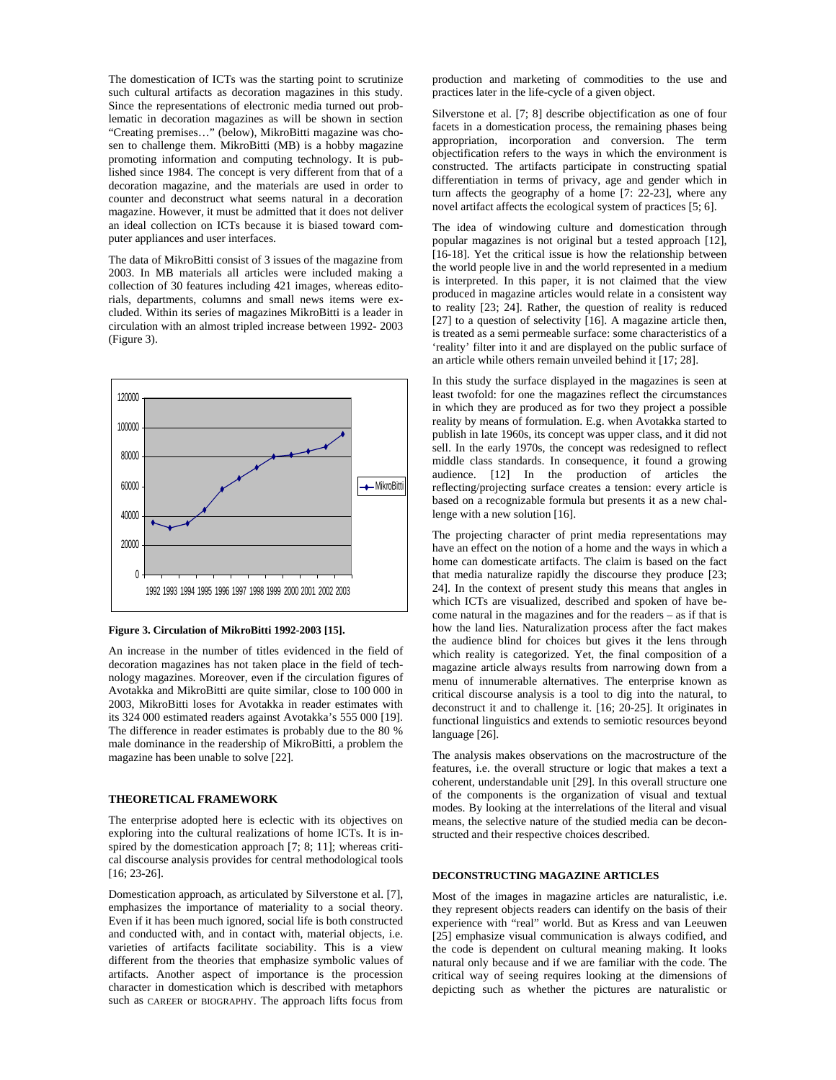The domestication of ICTs was the starting point to scrutinize such cultural artifacts as decoration magazines in this study. Since the representations of electronic media turned out problematic in decoration magazines as will be shown in section "Creating premises…" (below), MikroBitti magazine was chosen to challenge them. MikroBitti (MB) is a hobby magazine promoting information and computing technology. It is published since 1984. The concept is very different from that of a decoration magazine, and the materials are used in order to counter and deconstruct what seems natural in a decoration magazine. However, it must be admitted that it does not deliver an ideal collection on ICTs because it is biased toward computer appliances and user interfaces.

The data of MikroBitti consist of 3 issues of the magazine from 2003. In MB materials all articles were included making a collection of 30 features including 421 images, whereas editorials, departments, columns and small news items were excluded. Within its series of magazines MikroBitti is a leader in circulation with an almost tripled increase between 1992- 2003 (Figure 3).



**Figure 3. Circulation of MikroBitti 1992-2003 [15].** 

An increase in the number of titles evidenced in the field of decoration magazines has not taken place in the field of technology magazines. Moreover, even if the circulation figures of Avotakka and MikroBitti are quite similar, close to 100 000 in 2003, MikroBitti loses for Avotakka in reader estimates with its 324 000 estimated readers against Avotakka's 555 000 [19]. The difference in reader estimates is probably due to the 80 % male dominance in the readership of MikroBitti, a problem the magazine has been unable to solve [22].

# **THEORETICAL FRAMEWORK**

The enterprise adopted here is eclectic with its objectives on exploring into the cultural realizations of home ICTs. It is inspired by the domestication approach [7; 8; 11]; whereas critical discourse analysis provides for central methodological tools [16; 23-26].

Domestication approach, as articulated by Silverstone et al. [7], emphasizes the importance of materiality to a social theory. Even if it has been much ignored, social life is both constructed and conducted with, and in contact with, material objects, i.e. varieties of artifacts facilitate sociability. This is a view different from the theories that emphasize symbolic values of artifacts. Another aspect of importance is the procession character in domestication which is described with metaphors such as CAREER or BIOGRAPHY. The approach lifts focus from

production and marketing of commodities to the use and practices later in the life-cycle of a given object.

Silverstone et al. [7; 8] describe objectification as one of four facets in a domestication process, the remaining phases being appropriation, incorporation and conversion. The term objectification refers to the ways in which the environment is constructed. The artifacts participate in constructing spatial differentiation in terms of privacy, age and gender which in turn affects the geography of a home [7: 22-23], where any novel artifact affects the ecological system of practices [5; 6].

The idea of windowing culture and domestication through popular magazines is not original but a tested approach [12], [16-18]. Yet the critical issue is how the relationship between the world people live in and the world represented in a medium is interpreted. In this paper, it is not claimed that the view produced in magazine articles would relate in a consistent way to reality [23; 24]. Rather, the question of reality is reduced [27] to a question of selectivity [16]. A magazine article then, is treated as a semi permeable surface: some characteristics of a 'reality' filter into it and are displayed on the public surface of an article while others remain unveiled behind it [17; 28].

In this study the surface displayed in the magazines is seen at least twofold: for one the magazines reflect the circumstances in which they are produced as for two they project a possible reality by means of formulation. E.g. when Avotakka started to publish in late 1960s, its concept was upper class, and it did not sell. In the early 1970s, the concept was redesigned to reflect middle class standards. In consequence, it found a growing audience. [12] In the production of articles the reflecting/projecting surface creates a tension: every article is based on a recognizable formula but presents it as a new challenge with a new solution [16].

The projecting character of print media representations may have an effect on the notion of a home and the ways in which a home can domesticate artifacts. The claim is based on the fact that media naturalize rapidly the discourse they produce [23; 24]. In the context of present study this means that angles in which ICTs are visualized, described and spoken of have become natural in the magazines and for the readers – as if that is how the land lies. Naturalization process after the fact makes the audience blind for choices but gives it the lens through which reality is categorized. Yet, the final composition of a magazine article always results from narrowing down from a menu of innumerable alternatives. The enterprise known as critical discourse analysis is a tool to dig into the natural, to deconstruct it and to challenge it. [16; 20-25]. It originates in functional linguistics and extends to semiotic resources beyond language [26].

The analysis makes observations on the macrostructure of the features, i.e. the overall structure or logic that makes a text a coherent, understandable unit [29]. In this overall structure one of the components is the organization of visual and textual modes. By looking at the interrelations of the literal and visual means, the selective nature of the studied media can be deconstructed and their respective choices described.

# **DECONSTRUCTING MAGAZINE ARTICLES**

Most of the images in magazine articles are naturalistic, i.e. they represent objects readers can identify on the basis of their experience with "real" world. But as Kress and van Leeuwen [25] emphasize visual communication is always codified, and the code is dependent on cultural meaning making. It looks natural only because and if we are familiar with the code. The critical way of seeing requires looking at the dimensions of depicting such as whether the pictures are naturalistic or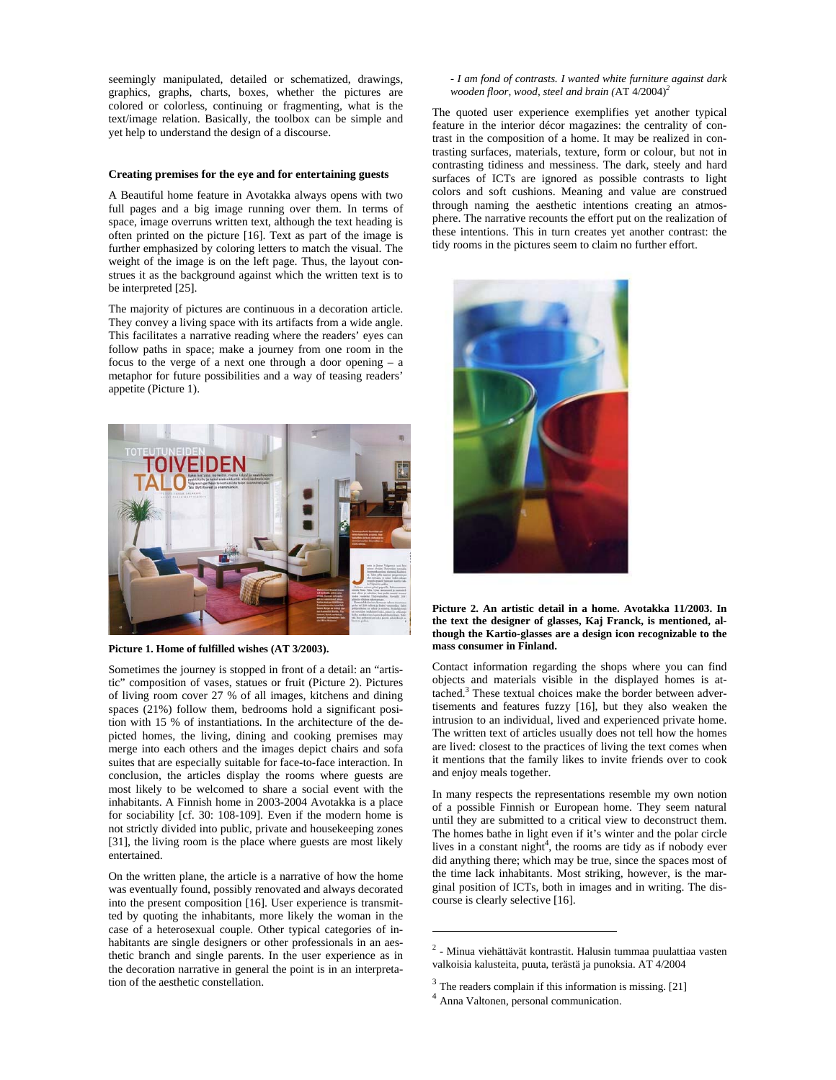seemingly manipulated, detailed or schematized, drawings, graphics, graphs, charts, boxes, whether the pictures are colored or colorless, continuing or fragmenting, what is the text/image relation. Basically, the toolbox can be simple and yet help to understand the design of a discourse.

#### **Creating premises for the eye and for entertaining guests**

A Beautiful home feature in Avotakka always opens with two full pages and a big image running over them. In terms of space, image overruns written text, although the text heading is often printed on the picture [16]. Text as part of the image is further emphasized by coloring letters to match the visual. The weight of the image is on the left page. Thus, the layout construes it as the background against which the written text is to be interpreted [25].

The majority of pictures are continuous in a decoration article. They convey a living space with its artifacts from a wide angle. This facilitates a narrative reading where the readers' eyes can follow paths in space; make a journey from one room in the focus to the verge of a next one through a door opening – a metaphor for future possibilities and a way of teasing readers' appetite (Picture 1).



**Picture 1. Home of fulfilled wishes (AT 3/2003).** 

Sometimes the journey is stopped in front of a detail: an "artistic" composition of vases, statues or fruit (Picture 2). Pictures of living room cover 27 % of all images, kitchens and dining spaces (21%) follow them, bedrooms hold a significant position with 15 % of instantiations. In the architecture of the depicted homes, the living, dining and cooking premises may merge into each others and the images depict chairs and sofa suites that are especially suitable for face-to-face interaction. In conclusion, the articles display the rooms where guests are most likely to be welcomed to share a social event with the inhabitants. A Finnish home in 2003-2004 Avotakka is a place for sociability [cf. 30: 108-109]. Even if the modern home is not strictly divided into public, private and housekeeping zones [31], the living room is the place where guests are most likely entertained.

On the written plane, the article is a narrative of how the home was eventually found, possibly renovated and always decorated into the present composition [16]. User experience is transmitted by quoting the inhabitants, more likely the woman in the case of a heterosexual couple. Other typical categories of inhabitants are single designers or other professionals in an aesthetic branch and single parents. In the user experience as in the decoration narrative in general the point is in an interpretation of the aesthetic constellation.

## *- I am fond of contrasts. I wanted white furniture against dark wooden floor, wood, steel and brain (*AT 4/2004)*<sup>2</sup>*

The quoted user experience exemplifies yet another typical feature in the interior décor magazines: the centrality of contrast in the composition of a home. It may be realized in contrasting surfaces, materials, texture, form or colour, but not in contrasting tidiness and messiness. The dark, steely and hard surfaces of ICTs are ignored as possible contrasts to light colors and soft cushions. Meaning and value are construed through naming the aesthetic intentions creating an atmosphere. The narrative recounts the effort put on the realization of these intentions. This in turn creates yet another contrast: the tidy rooms in the pictures seem to claim no further effort.



## **Picture 2. An artistic detail in a home. Avotakka 11/2003. In the text the designer of glasses, Kaj Franck, is mentioned, although the Kartio-glasses are a design icon recognizable to the mass consumer in Finland.**

Contact information regarding the shops where you can find objects and materials visible in the displayed homes is attached.<sup>3</sup> These textual choices make the border between advertisements and features fuzzy [16], but they also weaken the intrusion to an individual, lived and experienced private home. The written text of articles usually does not tell how the homes are lived: closest to the practices of living the text comes when it mentions that the family likes to invite friends over to cook and enjoy meals together.

In many respects the representations resemble my own notion of a possible Finnish or European home. They seem natural until they are submitted to a critical view to deconstruct them. The homes bathe in light even if it's winter and the polar circle lives in a constant night<sup>4</sup>, the rooms are tidy as if nobody ever did anything there; which may be true, since the spaces most of the time lack inhabitants. Most striking, however, is the marginal position of ICTs, both in images and in writing. The discourse is clearly selective [16].

 $\overline{a}$ 

<sup>2</sup> - Minua viehättävät kontrastit. Halusin tummaa puulattiaa vasten valkoisia kalusteita, puuta, terästä ja punoksia. AT 4/2004

 $3$  The readers complain if this information is missing. [21]  $4$  Anna Valtonen, personal communication.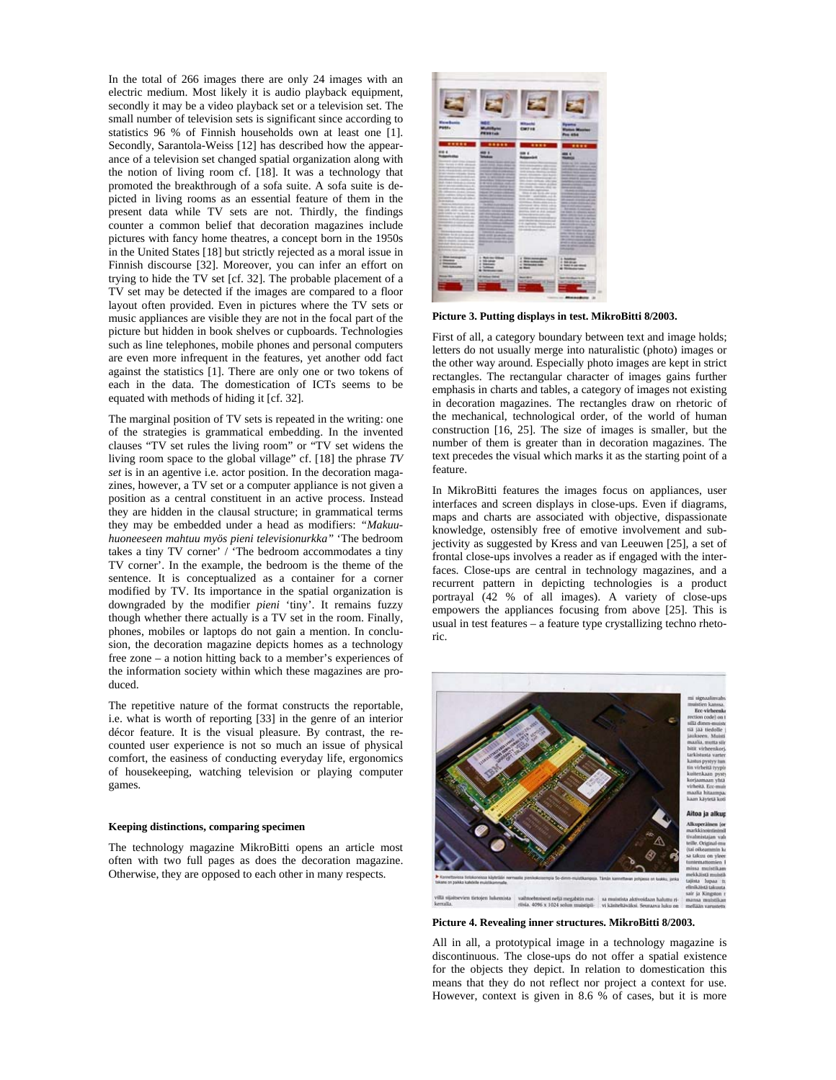In the total of 266 images there are only 24 images with an electric medium. Most likely it is audio playback equipment, secondly it may be a video playback set or a television set. The small number of television sets is significant since according to statistics 96 % of Finnish households own at least one [1]. Secondly, Sarantola-Weiss [12] has described how the appearance of a television set changed spatial organization along with the notion of living room cf. [18]. It was a technology that promoted the breakthrough of a sofa suite. A sofa suite is depicted in living rooms as an essential feature of them in the present data while TV sets are not. Thirdly, the findings counter a common belief that decoration magazines include pictures with fancy home theatres, a concept born in the 1950s in the United States [18] but strictly rejected as a moral issue in Finnish discourse [32]. Moreover, you can infer an effort on trying to hide the TV set [cf. 32]. The probable placement of a TV set may be detected if the images are compared to a floor layout often provided. Even in pictures where the TV sets or music appliances are visible they are not in the focal part of the picture but hidden in book shelves or cupboards. Technologies such as line telephones, mobile phones and personal computers are even more infrequent in the features, yet another odd fact against the statistics [1]. There are only one or two tokens of each in the data. The domestication of ICTs seems to be equated with methods of hiding it [cf. 32].

The marginal position of TV sets is repeated in the writing: one of the strategies is grammatical embedding. In the invented clauses "TV set rules the living room" or "TV set widens the living room space to the global village" cf. [18] the phrase *TV set* is in an agentive i.e. actor position. In the decoration magazines, however, a TV set or a computer appliance is not given a position as a central constituent in an active process. Instead they are hidden in the clausal structure; in grammatical terms they may be embedded under a head as modifiers: *"Makuuhuoneeseen mahtuu myös pieni televisionurkka"* 'The bedroom takes a tiny TV corner' / 'The bedroom accommodates a tiny TV corner'. In the example, the bedroom is the theme of the sentence. It is conceptualized as a container for a corner modified by TV. Its importance in the spatial organization is downgraded by the modifier *pieni* 'tiny'. It remains fuzzy though whether there actually is a TV set in the room. Finally, phones, mobiles or laptops do not gain a mention. In conclusion, the decoration magazine depicts homes as a technology free zone – a notion hitting back to a member's experiences of the information society within which these magazines are produced.

The repetitive nature of the format constructs the reportable, i.e. what is worth of reporting [33] in the genre of an interior décor feature. It is the visual pleasure. By contrast, the recounted user experience is not so much an issue of physical comfort, the easiness of conducting everyday life, ergonomics of housekeeping, watching television or playing computer games.

#### **Keeping distinctions, comparing specimen**

The technology magazine MikroBitti opens an article most often with two full pages as does the decoration magazine. Otherwise, they are opposed to each other in many respects.



**Picture 3. Putting displays in test. MikroBitti 8/2003.** 

First of all, a category boundary between text and image holds; letters do not usually merge into naturalistic (photo) images or the other way around. Especially photo images are kept in strict rectangles. The rectangular character of images gains further emphasis in charts and tables, a category of images not existing in decoration magazines. The rectangles draw on rhetoric of the mechanical, technological order, of the world of human construction [16, 25]. The size of images is smaller, but the number of them is greater than in decoration magazines. The text precedes the visual which marks it as the starting point of a feature.

In MikroBitti features the images focus on appliances, user interfaces and screen displays in close-ups. Even if diagrams, maps and charts are associated with objective, dispassionate knowledge, ostensibly free of emotive involvement and subjectivity as suggested by Kress and van Leeuwen [25], a set of frontal close-ups involves a reader as if engaged with the interfaces. Close-ups are central in technology magazines, and a recurrent pattern in depicting technologies is a product portrayal (42 % of all images). A variety of close-ups empowers the appliances focusing from above [25]. This is usual in test features – a feature type crystallizing techno rhetoric.



**Picture 4. Revealing inner structures. MikroBitti 8/2003.** 

All in all, a prototypical image in a technology magazine is discontinuous. The close-ups do not offer a spatial existence for the objects they depict. In relation to domestication this means that they do not reflect nor project a context for use. However, context is given in 8.6 % of cases, but it is more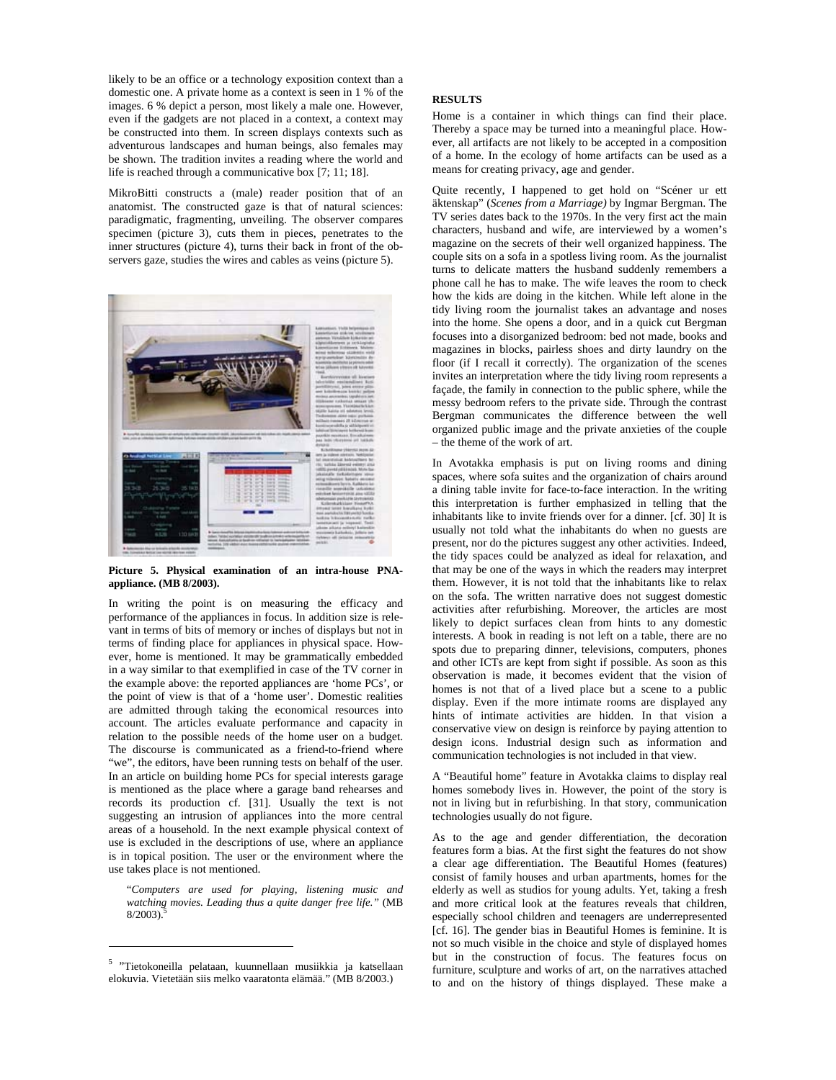likely to be an office or a technology exposition context than a domestic one. A private home as a context is seen in 1 % of the images. 6 % depict a person, most likely a male one. However, even if the gadgets are not placed in a context, a context may be constructed into them. In screen displays contexts such as adventurous landscapes and human beings, also females may be shown. The tradition invites a reading where the world and life is reached through a communicative box [7; 11; 18].

MikroBitti constructs a (male) reader position that of an anatomist. The constructed gaze is that of natural sciences: paradigmatic, fragmenting, unveiling. The observer compares specimen (picture 3), cuts them in pieces, penetrates to the inner structures (picture 4), turns their back in front of the observers gaze, studies the wires and cables as veins (picture 5).



**Picture 5. Physical examination of an intra-house PNAappliance. (MB 8/2003).** 

In writing the point is on measuring the efficacy and performance of the appliances in focus. In addition size is relevant in terms of bits of memory or inches of displays but not in terms of finding place for appliances in physical space. However, home is mentioned. It may be grammatically embedded in a way similar to that exemplified in case of the TV corner in the example above: the reported appliances are 'home PCs', or the point of view is that of a 'home user'. Domestic realities are admitted through taking the economical resources into account. The articles evaluate performance and capacity in relation to the possible needs of the home user on a budget. The discourse is communicated as a friend-to-friend where "we", the editors, have been running tests on behalf of the user. In an article on building home PCs for special interests garage is mentioned as the place where a garage band rehearses and records its production cf. [31]. Usually the text is not suggesting an intrusion of appliances into the more central areas of a household. In the next example physical context of use is excluded in the descriptions of use, where an appliance is in topical position. The user or the environment where the use takes place is not mentioned.

"*Computers are used for playing, listening music and watching movies. Leading thus a quite danger free life."* (MB  $8/2003$ ).

 $\overline{a}$ 

## **RESULTS**

Home is a container in which things can find their place. Thereby a space may be turned into a meaningful place. However, all artifacts are not likely to be accepted in a composition of a home. In the ecology of home artifacts can be used as a means for creating privacy, age and gender.

Quite recently, I happened to get hold on "Scéner ur ett äktenskap" (*Scenes from a Marriage)* by Ingmar Bergman. The TV series dates back to the 1970s. In the very first act the main characters, husband and wife, are interviewed by a women's magazine on the secrets of their well organized happiness. The couple sits on a sofa in a spotless living room. As the journalist turns to delicate matters the husband suddenly remembers a phone call he has to make. The wife leaves the room to check how the kids are doing in the kitchen. While left alone in the tidy living room the journalist takes an advantage and noses into the home. She opens a door, and in a quick cut Bergman focuses into a disorganized bedroom: bed not made, books and magazines in blocks, pairless shoes and dirty laundry on the floor (if I recall it correctly). The organization of the scenes invites an interpretation where the tidy living room represents a façade, the family in connection to the public sphere, while the messy bedroom refers to the private side. Through the contrast Bergman communicates the difference between the well organized public image and the private anxieties of the couple – the theme of the work of art.

In Avotakka emphasis is put on living rooms and dining spaces, where sofa suites and the organization of chairs around a dining table invite for face-to-face interaction. In the writing this interpretation is further emphasized in telling that the inhabitants like to invite friends over for a dinner. [cf. 30] It is usually not told what the inhabitants do when no guests are present, nor do the pictures suggest any other activities. Indeed, the tidy spaces could be analyzed as ideal for relaxation, and that may be one of the ways in which the readers may interpret them. However, it is not told that the inhabitants like to relax on the sofa. The written narrative does not suggest domestic activities after refurbishing. Moreover, the articles are most likely to depict surfaces clean from hints to any domestic interests. A book in reading is not left on a table, there are no spots due to preparing dinner, televisions, computers, phones and other ICTs are kept from sight if possible. As soon as this observation is made, it becomes evident that the vision of homes is not that of a lived place but a scene to a public display. Even if the more intimate rooms are displayed any hints of intimate activities are hidden. In that vision a conservative view on design is reinforce by paying attention to design icons. Industrial design such as information and communication technologies is not included in that view.

A "Beautiful home" feature in Avotakka claims to display real homes somebody lives in. However, the point of the story is not in living but in refurbishing. In that story, communication technologies usually do not figure.

As to the age and gender differentiation, the decoration features form a bias. At the first sight the features do not show a clear age differentiation. The Beautiful Homes (features) consist of family houses and urban apartments, homes for the elderly as well as studios for young adults. Yet, taking a fresh and more critical look at the features reveals that children, especially school children and teenagers are underrepresented [cf. 16]. The gender bias in Beautiful Homes is feminine. It is not so much visible in the choice and style of displayed homes but in the construction of focus. The features focus on furniture, sculpture and works of art, on the narratives attached to and on the history of things displayed. These make a

<sup>&</sup>lt;sup>5</sup> "Tietokoneilla pelataan, kuunnellaan musiikkia ja katsellaan elokuvia. Vietetään siis melko vaaratonta elämää." (MB 8/2003.)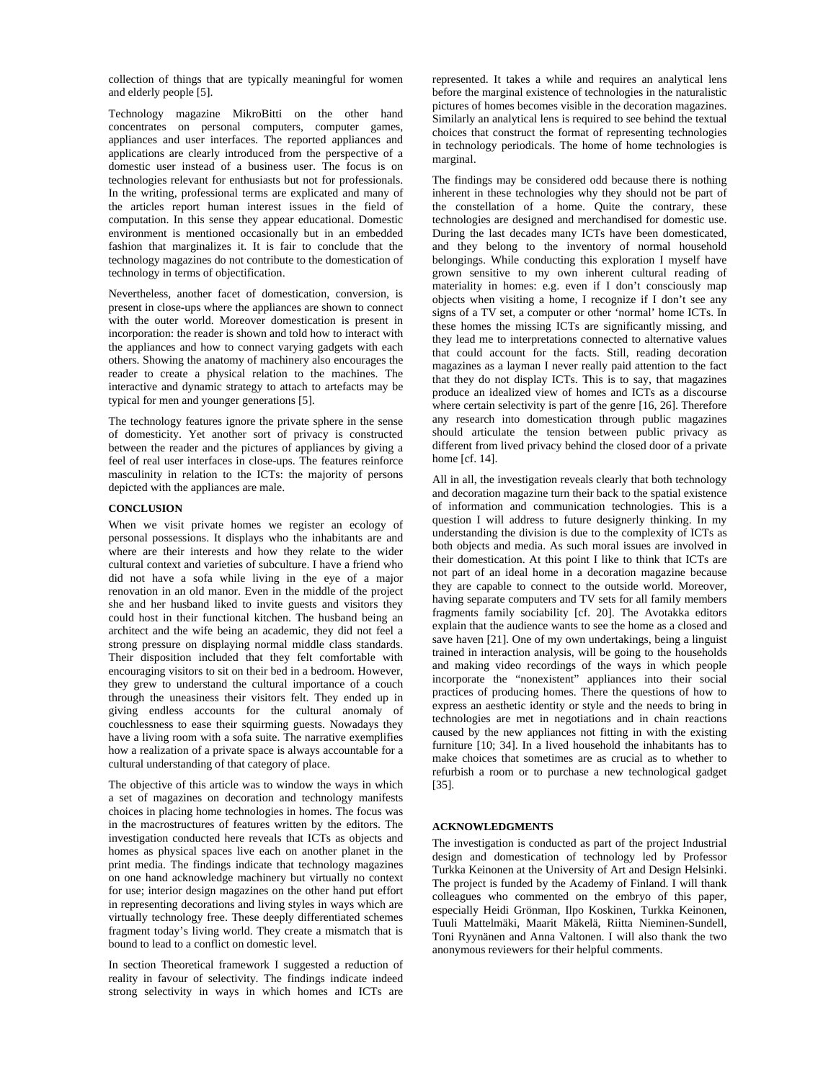collection of things that are typically meaningful for women and elderly people [5].

Technology magazine MikroBitti on the other hand concentrates on personal computers, computer games, appliances and user interfaces. The reported appliances and applications are clearly introduced from the perspective of a domestic user instead of a business user. The focus is on technologies relevant for enthusiasts but not for professionals. In the writing, professional terms are explicated and many of the articles report human interest issues in the field of computation. In this sense they appear educational. Domestic environment is mentioned occasionally but in an embedded fashion that marginalizes it. It is fair to conclude that the technology magazines do not contribute to the domestication of technology in terms of objectification.

Nevertheless, another facet of domestication, conversion, is present in close-ups where the appliances are shown to connect with the outer world. Moreover domestication is present in incorporation: the reader is shown and told how to interact with the appliances and how to connect varying gadgets with each others. Showing the anatomy of machinery also encourages the reader to create a physical relation to the machines. The interactive and dynamic strategy to attach to artefacts may be typical for men and younger generations [5].

The technology features ignore the private sphere in the sense of domesticity. Yet another sort of privacy is constructed between the reader and the pictures of appliances by giving a feel of real user interfaces in close-ups. The features reinforce masculinity in relation to the ICTs: the majority of persons depicted with the appliances are male.

# **CONCLUSION**

When we visit private homes we register an ecology of personal possessions. It displays who the inhabitants are and where are their interests and how they relate to the wider cultural context and varieties of subculture. I have a friend who did not have a sofa while living in the eye of a major renovation in an old manor. Even in the middle of the project she and her husband liked to invite guests and visitors they could host in their functional kitchen. The husband being an architect and the wife being an academic, they did not feel a strong pressure on displaying normal middle class standards. Their disposition included that they felt comfortable with encouraging visitors to sit on their bed in a bedroom. However, they grew to understand the cultural importance of a couch through the uneasiness their visitors felt. They ended up in giving endless accounts for the cultural anomaly of couchlessness to ease their squirming guests. Nowadays they have a living room with a sofa suite. The narrative exemplifies how a realization of a private space is always accountable for a cultural understanding of that category of place.

The objective of this article was to window the ways in which a set of magazines on decoration and technology manifests choices in placing home technologies in homes. The focus was in the macrostructures of features written by the editors. The investigation conducted here reveals that ICTs as objects and homes as physical spaces live each on another planet in the print media. The findings indicate that technology magazines on one hand acknowledge machinery but virtually no context for use; interior design magazines on the other hand put effort in representing decorations and living styles in ways which are virtually technology free. These deeply differentiated schemes fragment today's living world. They create a mismatch that is bound to lead to a conflict on domestic level.

In section Theoretical framework I suggested a reduction of reality in favour of selectivity. The findings indicate indeed strong selectivity in ways in which homes and ICTs are represented. It takes a while and requires an analytical lens before the marginal existence of technologies in the naturalistic pictures of homes becomes visible in the decoration magazines. Similarly an analytical lens is required to see behind the textual choices that construct the format of representing technologies in technology periodicals. The home of home technologies is marginal.

The findings may be considered odd because there is nothing inherent in these technologies why they should not be part of the constellation of a home. Quite the contrary, these technologies are designed and merchandised for domestic use. During the last decades many ICTs have been domesticated, and they belong to the inventory of normal household belongings. While conducting this exploration I myself have grown sensitive to my own inherent cultural reading of materiality in homes: e.g. even if I don't consciously map objects when visiting a home, I recognize if I don't see any signs of a TV set, a computer or other 'normal' home ICTs. In these homes the missing ICTs are significantly missing, and they lead me to interpretations connected to alternative values that could account for the facts. Still, reading decoration magazines as a layman I never really paid attention to the fact that they do not display ICTs. This is to say, that magazines produce an idealized view of homes and ICTs as a discourse where certain selectivity is part of the genre [16, 26]. Therefore any research into domestication through public magazines should articulate the tension between public privacy as different from lived privacy behind the closed door of a private home [cf. 14].

All in all, the investigation reveals clearly that both technology and decoration magazine turn their back to the spatial existence of information and communication technologies. This is a question I will address to future designerly thinking. In my understanding the division is due to the complexity of ICTs as both objects and media. As such moral issues are involved in their domestication. At this point I like to think that ICTs are not part of an ideal home in a decoration magazine because they are capable to connect to the outside world. Moreover, having separate computers and TV sets for all family members fragments family sociability [cf. 20]. The Avotakka editors explain that the audience wants to see the home as a closed and save haven [21]. One of my own undertakings, being a linguist trained in interaction analysis, will be going to the households and making video recordings of the ways in which people incorporate the "nonexistent" appliances into their social practices of producing homes. There the questions of how to express an aesthetic identity or style and the needs to bring in technologies are met in negotiations and in chain reactions caused by the new appliances not fitting in with the existing furniture [10; 34]. In a lived household the inhabitants has to make choices that sometimes are as crucial as to whether to refurbish a room or to purchase a new technological gadget [35].

## **ACKNOWLEDGMENTS**

The investigation is conducted as part of the project Industrial design and domestication of technology led by Professor Turkka Keinonen at the University of Art and Design Helsinki. The project is funded by the Academy of Finland. I will thank colleagues who commented on the embryo of this paper, especially Heidi Grönman, Ilpo Koskinen, Turkka Keinonen, Tuuli Mattelmäki, Maarit Mäkelä, Riitta Nieminen-Sundell, Toni Ryynänen and Anna Valtonen. I will also thank the two anonymous reviewers for their helpful comments.